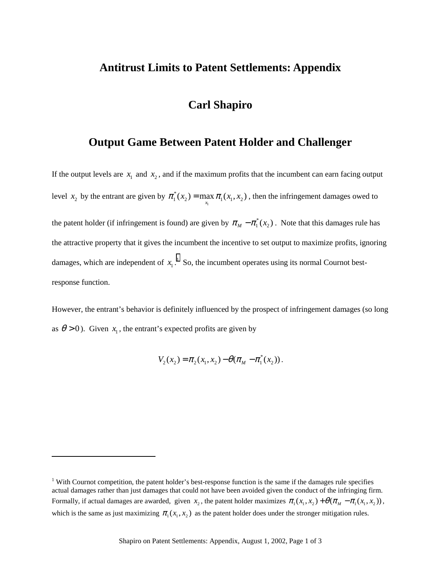## **Antitrust Limits to Patent Settlements: Appendix**

## **Carl Shapiro**

## **Output Game Between Patent Holder and Challenger**

If the output levels are  $x_1$  and  $x_2$ , and if the maximum profits that the incumbent can earn facing output level  $x_2$  by the entrant are given by  $\pi_1^*(x_2) = \max_{x_1} \pi_1(x_1, x_2)$ , then the infringement damages owed to the patent holder (if infringement is found) are given by  $\pi_M - \pi_1^*(x_2)$ . Note that this damages rule has the attractive property that it gives the incumbent the incentive to set output to maximize profits, ignoring damages, which are independent of  $x_1$ .<sup>1</sup> So, the incumbent operates using its normal Cournot bestresponse function.

However, the entrant's behavior is definitely influenced by the prospect of infringement damages (so long as  $\theta > 0$ ). Given  $x_1$ , the entrant's expected profits are given by

 $V_2(x_2) = \pi_2(x_1, x_2) - \theta(\pi_M - \pi_1^*(x_2)).$ 

l

<sup>&</sup>lt;sup>1</sup> With Cournot competition, the patent holder's best-response function is the same if the damages rule specifies actual damages rather than just damages that could not have been avoided given the conduct of the infringing firm. Formally, if actual damages are awarded, given  $x_2$ , the patent holder maximizes  $\pi_1(x_1, x_2) + \theta(\pi_M - \pi_1(x_1, x_2))$ , which is the same as just maximizing  $\pi$ ,  $(x, x<sub>2</sub>)$  as the patent holder does under the stronger mitigation rules.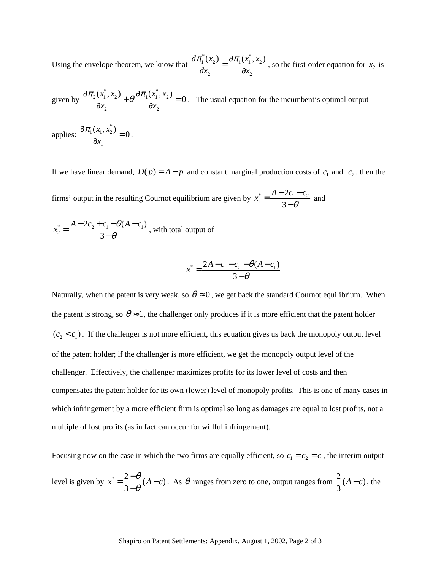Using the envelope theorem, we know that  $^*(x)$   $\partial \pi(x^*)$  $1^{(\lambda_2)} - 0 \mu_1(\lambda_1, \lambda_2)$ 2  $0x_2$  $d\pi_1^*(x_2)$   $\partial \pi_1(x_1^*,x_2)$  $rac{\pi_1^*(x_2)}{dx_2} = \frac{\partial \pi_1(x_1^*, x_2)}{\partial x_2}$ , so the first-order equation for  $x_2$  is

given by \*  $\cdots$   $\lambda \pi (x^*)$  $2^{(\lambda_1, \lambda_2)}$   $\perp$   $\varrho$   $\mathcal{Q}$   $\mathcal{U}_1(\lambda_1, \lambda_2)$ 2  $0\lambda_2$  $\frac{(x_1^*, x_2)}{2} + \theta \frac{\partial \pi_1(x_1^*, x_2)}{2} = 0$  $x_2$   $\partial x$  $\frac{\partial \pi_2(x_1^*, x_2)}{\partial x_2} + \theta \frac{\partial \pi_1(x_1^*, x_2)}{\partial x_2} = 0$ . The usual equation for the incumbent's optimal output

applies: \*  $1\lambda_1,\lambda_2$ 1  $\frac{(x_1, x_2^*)}{2} = 0$  $\frac{\partial \pi_1(x_1, x_2^*)}{\partial x_1} = 0.$ 

If we have linear demand,  $D(p) = A - p$  and constant marginal production costs of  $c_1$  and  $c_2$ , then the

firms' output in the resulting Cournot equilibrium are given by  $x_1^* = \frac{A - 2C_1 + C_2}{2}$ 2 3  $x_1^* = \frac{A - 2c_1 + c_2}{3 - \theta}$  and

$$
x_2^* = \frac{A - 2c_2 + c_1 - \theta(A - c_1)}{3 - \theta}
$$
, with total output of

$$
x^* = \frac{2A - c_1 - c_2 - \theta(A - c_1)}{3 - \theta}
$$

Naturally, when the patent is very weak, so  $\theta \approx 0$ , we get back the standard Cournot equilibrium. When the patent is strong, so  $\theta \approx 1$ , the challenger only produces if it is more efficient that the patent holder  $(c_2 < c_1)$ . If the challenger is not more efficient, this equation gives us back the monopoly output level of the patent holder; if the challenger is more efficient, we get the monopoly output level of the challenger. Effectively, the challenger maximizes profits for its lower level of costs and then compensates the patent holder for its own (lower) level of monopoly profits. This is one of many cases in which infringement by a more efficient firm is optimal so long as damages are equal to lost profits, not a multiple of lost profits (as in fact can occur for willful infringement).

Focusing now on the case in which the two firms are equally efficient, so  $c_1 = c_2 = c$ , the interim output

level is given by 
$$
x^* = \frac{2-\theta}{3-\theta}(A-c)
$$
. As  $\theta$  ranges from zero to one, output ranges from  $\frac{2}{3}(A-c)$ , the